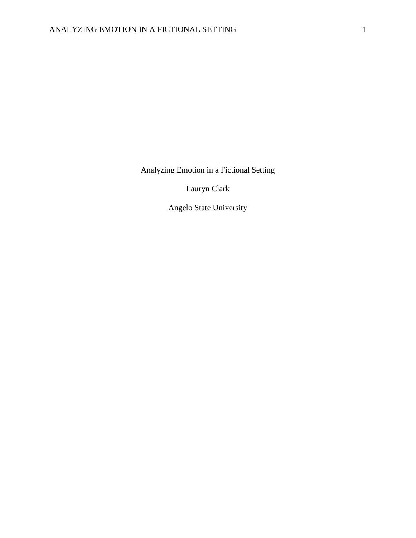Analyzing Emotion in a Fictional Setting

Lauryn Clark

Angelo State University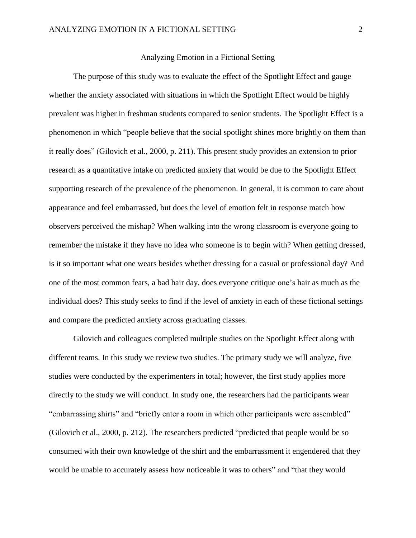# Analyzing Emotion in a Fictional Setting

The purpose of this study was to evaluate the effect of the Spotlight Effect and gauge whether the anxiety associated with situations in which the Spotlight Effect would be highly prevalent was higher in freshman students compared to senior students. The Spotlight Effect is a phenomenon in which "people believe that the social spotlight shines more brightly on them than it really does" (Gilovich et al., 2000, p. 211). This present study provides an extension to prior research as a quantitative intake on predicted anxiety that would be due to the Spotlight Effect supporting research of the prevalence of the phenomenon. In general, it is common to care about appearance and feel embarrassed, but does the level of emotion felt in response match how observers perceived the mishap? When walking into the wrong classroom is everyone going to remember the mistake if they have no idea who someone is to begin with? When getting dressed, is it so important what one wears besides whether dressing for a casual or professional day? And one of the most common fears, a bad hair day, does everyone critique one's hair as much as the individual does? This study seeks to find if the level of anxiety in each of these fictional settings and compare the predicted anxiety across graduating classes.

Gilovich and colleagues completed multiple studies on the Spotlight Effect along with different teams. In this study we review two studies. The primary study we will analyze, five studies were conducted by the experimenters in total; however, the first study applies more directly to the study we will conduct. In study one, the researchers had the participants wear "embarrassing shirts" and "briefly enter a room in which other participants were assembled" (Gilovich et al., 2000, p. 212). The researchers predicted "predicted that people would be so consumed with their own knowledge of the shirt and the embarrassment it engendered that they would be unable to accurately assess how noticeable it was to others" and "that they would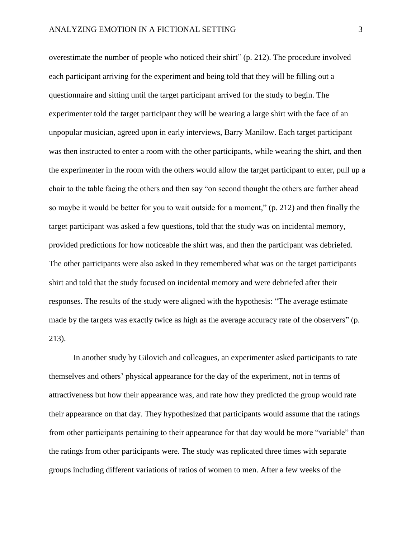overestimate the number of people who noticed their shirt" (p. 212). The procedure involved each participant arriving for the experiment and being told that they will be filling out a questionnaire and sitting until the target participant arrived for the study to begin. The experimenter told the target participant they will be wearing a large shirt with the face of an unpopular musician, agreed upon in early interviews, Barry Manilow. Each target participant was then instructed to enter a room with the other participants, while wearing the shirt, and then the experimenter in the room with the others would allow the target participant to enter, pull up a chair to the table facing the others and then say "on second thought the others are farther ahead so maybe it would be better for you to wait outside for a moment," (p. 212) and then finally the target participant was asked a few questions, told that the study was on incidental memory, provided predictions for how noticeable the shirt was, and then the participant was debriefed. The other participants were also asked in they remembered what was on the target participants shirt and told that the study focused on incidental memory and were debriefed after their responses. The results of the study were aligned with the hypothesis: "The average estimate made by the targets was exactly twice as high as the average accuracy rate of the observers" (p. 213).

In another study by Gilovich and colleagues, an experimenter asked participants to rate themselves and others' physical appearance for the day of the experiment, not in terms of attractiveness but how their appearance was, and rate how they predicted the group would rate their appearance on that day. They hypothesized that participants would assume that the ratings from other participants pertaining to their appearance for that day would be more "variable" than the ratings from other participants were. The study was replicated three times with separate groups including different variations of ratios of women to men. After a few weeks of the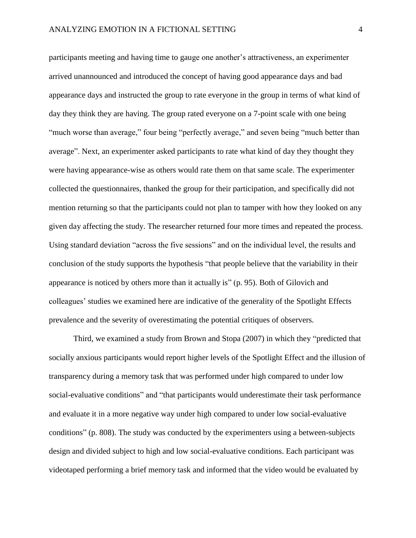participants meeting and having time to gauge one another's attractiveness, an experimenter arrived unannounced and introduced the concept of having good appearance days and bad appearance days and instructed the group to rate everyone in the group in terms of what kind of day they think they are having. The group rated everyone on a 7-point scale with one being "much worse than average," four being "perfectly average," and seven being "much better than average". Next, an experimenter asked participants to rate what kind of day they thought they were having appearance-wise as others would rate them on that same scale. The experimenter collected the questionnaires, thanked the group for their participation, and specifically did not mention returning so that the participants could not plan to tamper with how they looked on any given day affecting the study. The researcher returned four more times and repeated the process. Using standard deviation "across the five sessions" and on the individual level, the results and conclusion of the study supports the hypothesis "that people believe that the variability in their appearance is noticed by others more than it actually is" (p. 95). Both of Gilovich and colleagues' studies we examined here are indicative of the generality of the Spotlight Effects prevalence and the severity of overestimating the potential critiques of observers.

Third, we examined a study from Brown and Stopa (2007) in which they "predicted that socially anxious participants would report higher levels of the Spotlight Effect and the illusion of transparency during a memory task that was performed under high compared to under low social-evaluative conditions" and "that participants would underestimate their task performance and evaluate it in a more negative way under high compared to under low social-evaluative conditions" (p. 808). The study was conducted by the experimenters using a between-subjects design and divided subject to high and low social-evaluative conditions. Each participant was videotaped performing a brief memory task and informed that the video would be evaluated by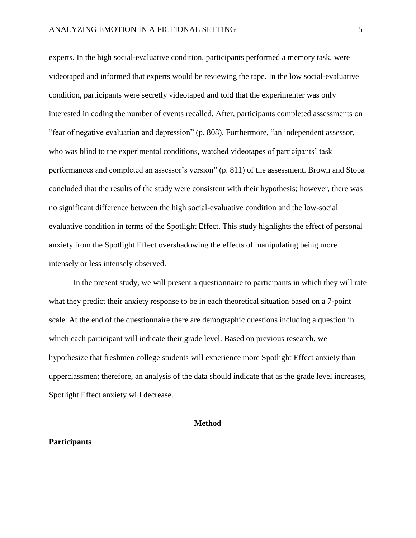experts. In the high social-evaluative condition, participants performed a memory task, were videotaped and informed that experts would be reviewing the tape. In the low social-evaluative condition, participants were secretly videotaped and told that the experimenter was only interested in coding the number of events recalled. After, participants completed assessments on "fear of negative evaluation and depression" (p. 808). Furthermore, "an independent assessor, who was blind to the experimental conditions, watched videotapes of participants' task performances and completed an assessor's version" (p. 811) of the assessment. Brown and Stopa concluded that the results of the study were consistent with their hypothesis; however, there was no significant difference between the high social-evaluative condition and the low-social evaluative condition in terms of the Spotlight Effect. This study highlights the effect of personal anxiety from the Spotlight Effect overshadowing the effects of manipulating being more intensely or less intensely observed.

In the present study, we will present a questionnaire to participants in which they will rate what they predict their anxiety response to be in each theoretical situation based on a 7-point scale. At the end of the questionnaire there are demographic questions including a question in which each participant will indicate their grade level. Based on previous research, we hypothesize that freshmen college students will experience more Spotlight Effect anxiety than upperclassmen; therefore, an analysis of the data should indicate that as the grade level increases, Spotlight Effect anxiety will decrease.

# **Method**

### **Participants**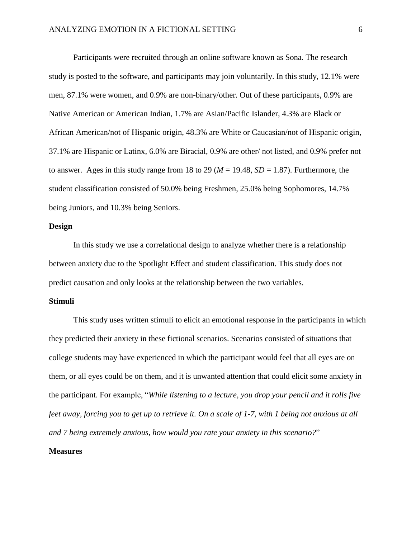Participants were recruited through an online software known as Sona. The research study is posted to the software, and participants may join voluntarily. In this study, 12.1% were men, 87.1% were women, and 0.9% are non-binary/other. Out of these participants, 0.9% are Native American or American Indian, 1.7% are Asian/Pacific Islander, 4.3% are Black or African American/not of Hispanic origin, 48.3% are White or Caucasian/not of Hispanic origin, 37.1% are Hispanic or Latinx, 6.0% are Biracial, 0.9% are other/ not listed, and 0.9% prefer not to answer. Ages in this study range from 18 to 29 ( $M = 19.48$ ,  $SD = 1.87$ ). Furthermore, the student classification consisted of 50.0% being Freshmen, 25.0% being Sophomores, 14.7% being Juniors, and 10.3% being Seniors.

## **Design**

In this study we use a correlational design to analyze whether there is a relationship between anxiety due to the Spotlight Effect and student classification. This study does not predict causation and only looks at the relationship between the two variables.

#### **Stimuli**

This study uses written stimuli to elicit an emotional response in the participants in which they predicted their anxiety in these fictional scenarios. Scenarios consisted of situations that college students may have experienced in which the participant would feel that all eyes are on them, or all eyes could be on them, and it is unwanted attention that could elicit some anxiety in the participant. For example, "*While listening to a lecture, you drop your pencil and it rolls five feet away, forcing you to get up to retrieve it. On a scale of 1-7, with 1 being not anxious at all and 7 being extremely anxious, how would you rate your anxiety in this scenario?*"

#### **Measures**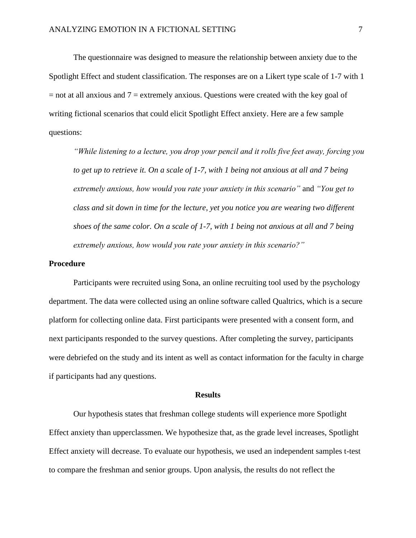The questionnaire was designed to measure the relationship between anxiety due to the Spotlight Effect and student classification. The responses are on a Likert type scale of 1-7 with 1  $=$  not at all anxious and  $7 =$  extremely anxious. Questions were created with the key goal of writing fictional scenarios that could elicit Spotlight Effect anxiety. Here are a few sample questions:

*"While listening to a lecture, you drop your pencil and it rolls five feet away, forcing you to get up to retrieve it. On a scale of 1-7, with 1 being not anxious at all and 7 being extremely anxious, how would you rate your anxiety in this scenario"* and *"You get to class and sit down in time for the lecture, yet you notice you are wearing two different shoes of the same color. On a scale of 1-7, with 1 being not anxious at all and 7 being extremely anxious, how would you rate your anxiety in this scenario?"* 

## **Procedure**

Participants were recruited using Sona, an online recruiting tool used by the psychology department. The data were collected using an online software called Qualtrics, which is a secure platform for collecting online data. First participants were presented with a consent form, and next participants responded to the survey questions. After completing the survey, participants were debriefed on the study and its intent as well as contact information for the faculty in charge if participants had any questions.

## **Results**

Our hypothesis states that freshman college students will experience more Spotlight Effect anxiety than upperclassmen. We hypothesize that, as the grade level increases, Spotlight Effect anxiety will decrease. To evaluate our hypothesis, we used an independent samples t-test to compare the freshman and senior groups. Upon analysis, the results do not reflect the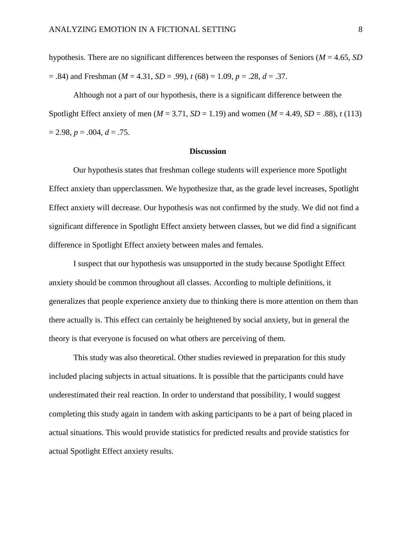hypothesis. There are no significant differences between the responses of Seniors (*M* = 4.65, *SD*   $(68) = 0.84$ ) and Freshman (*M* = 4.31, *SD* = .99), *t* (68) = 1.09, *p* = .28, *d* = .37.

Although not a part of our hypothesis, there is a significant difference between the Spotlight Effect anxiety of men ( $M = 3.71$ ,  $SD = 1.19$ ) and women ( $M = 4.49$ ,  $SD = .88$ ),  $t(113)$  $= 2.98, p = .004, d = .75.$ 

# **Discussion**

Our hypothesis states that freshman college students will experience more Spotlight Effect anxiety than upperclassmen. We hypothesize that, as the grade level increases, Spotlight Effect anxiety will decrease. Our hypothesis was not confirmed by the study. We did not find a significant difference in Spotlight Effect anxiety between classes, but we did find a significant difference in Spotlight Effect anxiety between males and females.

I suspect that our hypothesis was unsupported in the study because Spotlight Effect anxiety should be common throughout all classes. According to multiple definitions, it generalizes that people experience anxiety due to thinking there is more attention on them than there actually is. This effect can certainly be heightened by social anxiety, but in general the theory is that everyone is focused on what others are perceiving of them.

This study was also theoretical. Other studies reviewed in preparation for this study included placing subjects in actual situations. It is possible that the participants could have underestimated their real reaction. In order to understand that possibility, I would suggest completing this study again in tandem with asking participants to be a part of being placed in actual situations. This would provide statistics for predicted results and provide statistics for actual Spotlight Effect anxiety results.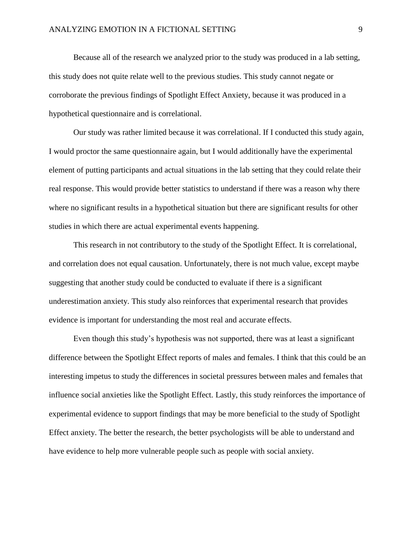Because all of the research we analyzed prior to the study was produced in a lab setting, this study does not quite relate well to the previous studies. This study cannot negate or corroborate the previous findings of Spotlight Effect Anxiety, because it was produced in a hypothetical questionnaire and is correlational.

Our study was rather limited because it was correlational. If I conducted this study again, I would proctor the same questionnaire again, but I would additionally have the experimental element of putting participants and actual situations in the lab setting that they could relate their real response. This would provide better statistics to understand if there was a reason why there where no significant results in a hypothetical situation but there are significant results for other studies in which there are actual experimental events happening.

This research in not contributory to the study of the Spotlight Effect. It is correlational, and correlation does not equal causation. Unfortunately, there is not much value, except maybe suggesting that another study could be conducted to evaluate if there is a significant underestimation anxiety. This study also reinforces that experimental research that provides evidence is important for understanding the most real and accurate effects.

Even though this study's hypothesis was not supported, there was at least a significant difference between the Spotlight Effect reports of males and females. I think that this could be an interesting impetus to study the differences in societal pressures between males and females that influence social anxieties like the Spotlight Effect. Lastly, this study reinforces the importance of experimental evidence to support findings that may be more beneficial to the study of Spotlight Effect anxiety. The better the research, the better psychologists will be able to understand and have evidence to help more vulnerable people such as people with social anxiety.